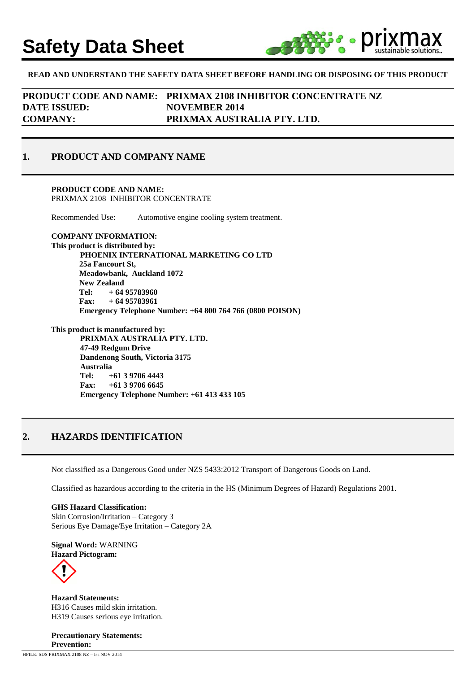# **Safety Data Sheet**



### **READ AND UNDERSTAND THE SAFETY DATA SHEET BEFORE HANDLING OR DISPOSING OF THIS PRODUCT**

**PRODUCT CODE AND NAME: PRIXMAX 2108 INHIBITOR CONCENTRATE NZ DATE ISSUED: NOVEMBER 2014 COMPANY: PRIXMAX AUSTRALIA PTY. LTD.**

### **1. PRODUCT AND COMPANY NAME**

**PRODUCT CODE AND NAME:** PRIXMAX 2108 INHIBITOR CONCENTRATE

Recommended Use: Automotive engine cooling system treatment.

**COMPANY INFORMATION: This product is distributed by: PHOENIX INTERNATIONAL MARKETING CO LTD 25a Fancourt St, Meadowbank, Auckland 1072 New Zealand Tel: + 64 95783960 Fax: + 64 95783961 Emergency Telephone Number: +64 800 764 766 (0800 POISON)**

**This product is manufactured by: PRIXMAX AUSTRALIA PTY. LTD. 47-49 Redgum Drive Dandenong South, Victoria 3175 Australia Tel: +61 3 9706 4443 Fax: +61 3 9706 6645 Emergency Telephone Number: +61 413 433 105**

### **2. HAZARDS IDENTIFICATION**

Not classified as a Dangerous Good under NZS 5433:2012 Transport of Dangerous Goods on Land.

Classified as hazardous according to the criteria in the HS (Minimum Degrees of Hazard) Regulations 2001.

**GHS Hazard Classification:**  Skin Corrosion/Irritation – Category 3 Serious Eye Damage/Eye Irritation – Category 2A

**Signal Word:** WARNING **Hazard Pictogram:**



**Hazard Statements:**  H316 Causes mild skin irritation. H319 Causes serious eye irritation.

**Precautionary Statements: Prevention:**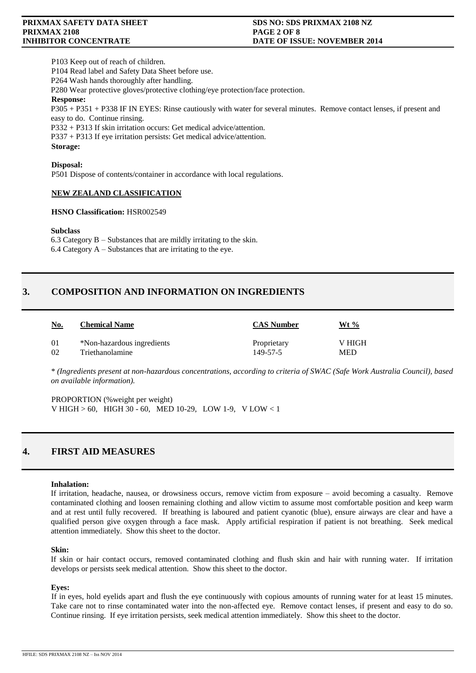P103 Keep out of reach of children.

P104 Read label and Safety Data Sheet before use.

P264 Wash hands thoroughly after handling.

P280 Wear protective gloves/protective clothing/eye protection/face protection.

**Response:**

P305 + P351 + P338 IF IN EYES: Rinse cautiously with water for several minutes. Remove contact lenses, if present and easy to do. Continue rinsing.

P332 + P313 If skin irritation occurs: Get medical advice/attention.

P337 + P313 If eye irritation persists: Get medical advice/attention.

**Storage:**

### **Disposal:**

P501 Dispose of contents/container in accordance with local regulations.

### **NEW ZEALAND CLASSIFICATION**

### **HSNO Classification:** HSR002549

### **Subclass**

6.3 Category B – Substances that are mildly irritating to the skin.  $6.4$  Category  $A -$  Substances that are irritating to the eye.

## **3. COMPOSITION AND INFORMATION ON INGREDIENTS**

| <u>No.</u> | <b>Chemical Name</b>       | <b>CAS Number</b> | Wt %       |
|------------|----------------------------|-------------------|------------|
| -01        | *Non-hazardous ingredients | Proprietary       | V HIGH     |
| - 02       | Triethanolamine            | 149-57-5          | <b>MED</b> |

*\* (Ingredients present at non-hazardous concentrations, according to criteria of SWAC (Safe Work Australia Council), based on available information).*

PROPORTION (%weight per weight) V HIGH > 60, HIGH 30 - 60, MED 10-29, LOW 1-9, V LOW < 1

### **4. FIRST AID MEASURES**

### **Inhalation:**

If irritation, headache, nausea, or drowsiness occurs, remove victim from exposure – avoid becoming a casualty. Remove contaminated clothing and loosen remaining clothing and allow victim to assume most comfortable position and keep warm and at rest until fully recovered. If breathing is laboured and patient cyanotic (blue), ensure airways are clear and have a qualified person give oxygen through a face mask. Apply artificial respiration if patient is not breathing. Seek medical attention immediately. Show this sheet to the doctor.

### **Skin:**

If skin or hair contact occurs, removed contaminated clothing and flush skin and hair with running water. If irritation develops or persists seek medical attention. Show this sheet to the doctor.

### **Eyes:**

If in eyes, hold eyelids apart and flush the eye continuously with copious amounts of running water for at least 15 minutes. Take care not to rinse contaminated water into the non-affected eye. Remove contact lenses, if present and easy to do so. Continue rinsing. If eye irritation persists, seek medical attention immediately. Show this sheet to the doctor.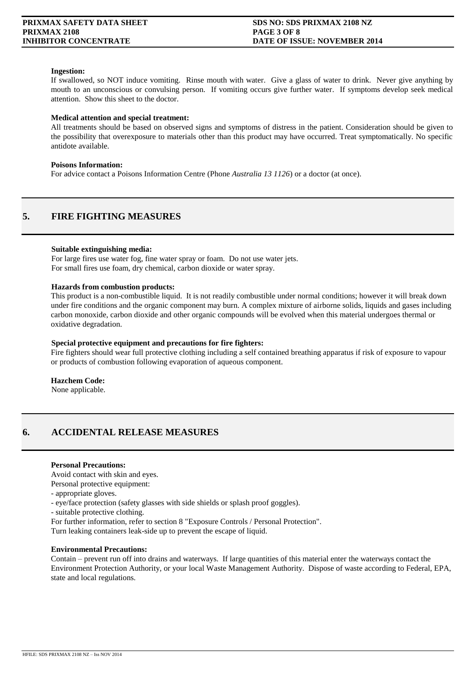### **Ingestion:**

If swallowed, so NOT induce vomiting. Rinse mouth with water. Give a glass of water to drink. Never give anything by mouth to an unconscious or convulsing person. If vomiting occurs give further water. If symptoms develop seek medical attention. Show this sheet to the doctor.

### **Medical attention and special treatment:**

All treatments should be based on observed signs and symptoms of distress in the patient. Consideration should be given to the possibility that overexposure to materials other than this product may have occurred. Treat symptomatically. No specific antidote available.

### **Poisons Information:**

For advice contact a Poisons Information Centre (Phone *Australia 13 1126*) or a doctor (at once).

### **5. FIRE FIGHTING MEASURES**

### **Suitable extinguishing media:**

For large fires use water fog, fine water spray or foam. Do not use water jets. For small fires use foam, dry chemical, carbon dioxide or water spray.

### **Hazards from combustion products:**

This product is a non-combustible liquid. It is not readily combustible under normal conditions; however it will break down under fire conditions and the organic component may burn. A complex mixture of airborne solids, liquids and gases including carbon monoxide, carbon dioxide and other organic compounds will be evolved when this material undergoes thermal or oxidative degradation.

### **Special protective equipment and precautions for fire fighters:**

Fire fighters should wear full protective clothing including a self contained breathing apparatus if risk of exposure to vapour or products of combustion following evaporation of aqueous component.

### **Hazchem Code:**

None applicable.

### **6. ACCIDENTAL RELEASE MEASURES**

### **Personal Precautions:**

Avoid contact with skin and eyes.

Personal protective equipment:

- appropriate gloves.

- eye/face protection (safety glasses with side shields or splash proof goggles).

- suitable protective clothing.

For further information, refer to section 8 "Exposure Controls / Personal Protection".

Turn leaking containers leak-side up to prevent the escape of liquid.

### **Environmental Precautions:**

Contain – prevent run off into drains and waterways. If large quantities of this material enter the waterways contact the Environment Protection Authority, or your local Waste Management Authority. Dispose of waste according to Federal, EPA, state and local regulations.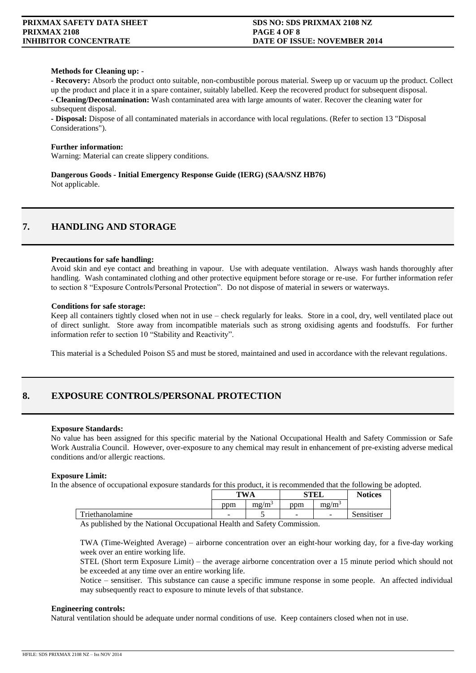### **Methods for Cleaning up:** -

**- Recovery:** Absorb the product onto suitable, non-combustible porous material. Sweep up or vacuum up the product. Collect up the product and place it in a spare container, suitably labelled. Keep the recovered product for subsequent disposal. **- Cleaning/Decontamination:** Wash contaminated area with large amounts of water. Recover the cleaning water for subsequent disposal.

**- Disposal:** Dispose of all contaminated materials in accordance with local regulations. (Refer to section 13 "Disposal Considerations").

### **Further information:**

Warning: Material can create slippery conditions.

**Dangerous Goods - Initial Emergency Response Guide (IERG) (SAA/SNZ HB76)** Not applicable.

### **7. HANDLING AND STORAGE**

### **Precautions for safe handling:**

Avoid skin and eye contact and breathing in vapour. Use with adequate ventilation. Always wash hands thoroughly after handling. Wash contaminated clothing and other protective equipment before storage or re-use. For further information refer to section 8 "Exposure Controls/Personal Protection". Do not dispose of material in sewers or waterways.

### **Conditions for safe storage:**

Keep all containers tightly closed when not in use – check regularly for leaks. Store in a cool, dry, well ventilated place out of direct sunlight. Store away from incompatible materials such as strong oxidising agents and foodstuffs. For further information refer to section 10 "Stability and Reactivity".

This material is a Scheduled Poison S5 and must be stored, maintained and used in accordance with the relevant regulations.

### **8. EXPOSURE CONTROLS/PERSONAL PROTECTION**

### **Exposure Standards:**

No value has been assigned for this specific material by the National Occupational Health and Safety Commission or Safe Work Australia Council. However, over-exposure to any chemical may result in enhancement of pre-existing adverse medical conditions and/or allergic reactions.

### **Exposure Limit:**

In the absence of occupational exposure standards for this product, it is recommended that the following be adopted.

|                 | TW .<br>NΑ               |                 | STFI<br>ollu             |                          | <b>Notices</b> |
|-----------------|--------------------------|-----------------|--------------------------|--------------------------|----------------|
|                 | ppm                      | $m\text{g}/m^3$ | ppm                      | $m\text{g}/m^3$          |                |
| Triethanolamine | $\overline{\phantom{a}}$ |                 | $\overline{\phantom{a}}$ | $\overline{\phantom{a}}$ | Sensitiser     |

As published by the National Occupational Health and Safety Commission.

TWA (Time-Weighted Average) – airborne concentration over an eight-hour working day, for a five-day working week over an entire working life.

STEL (Short term Exposure Limit) – the average airborne concentration over a 15 minute period which should not be exceeded at any time over an entire working life.

Notice – sensitiser. This substance can cause a specific immune response in some people. An affected individual may subsequently react to exposure to minute levels of that substance.

### **Engineering controls:**

Natural ventilation should be adequate under normal conditions of use. Keep containers closed when not in use.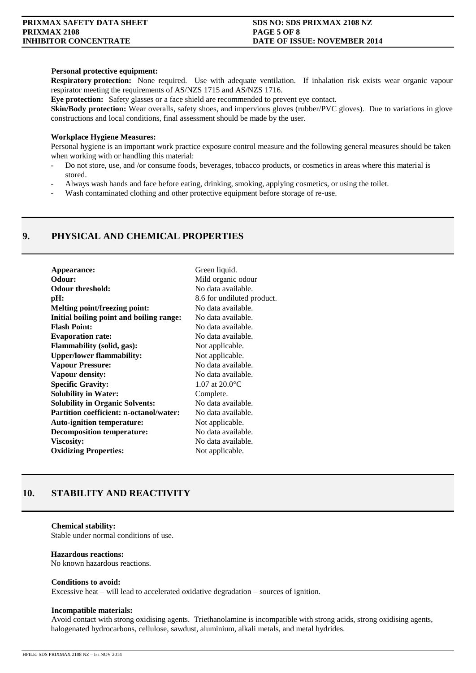### **Personal protective equipment:**

**Respiratory protection:** None required. Use with adequate ventilation. If inhalation risk exists wear organic vapour respirator meeting the requirements of AS/NZS 1715 and AS/NZS 1716.

**Eye protection:** Safety glasses or a face shield are recommended to prevent eye contact.

**Skin/Body protection:** Wear overalls, safety shoes, and impervious gloves (rubber/PVC gloves). Due to variations in glove constructions and local conditions, final assessment should be made by the user.

### **Workplace Hygiene Measures:**

Personal hygiene is an important work practice exposure control measure and the following general measures should be taken when working with or handling this material:

- Do not store, use, and /or consume foods, beverages, tobacco products, or cosmetics in areas where this material is stored.
- Always wash hands and face before eating, drinking, smoking, applying cosmetics, or using the toilet.
- Wash contaminated clothing and other protective equipment before storage of re-use.

### **9. PHYSICAL AND CHEMICAL PROPERTIES**

| Appearance:                                    | Green liquid.                   |  |  |
|------------------------------------------------|---------------------------------|--|--|
| Odour:                                         | Mild organic odour              |  |  |
| <b>Odour threshold:</b>                        | No data available.              |  |  |
| pH:                                            | 8.6 for undiluted product.      |  |  |
| Melting point/freezing point:                  | No data available.              |  |  |
| Initial boiling point and boiling range:       | No data available.              |  |  |
| <b>Flash Point:</b>                            | No data available.              |  |  |
| <b>Evaporation rate:</b>                       | No data available.              |  |  |
| <b>Flammability (solid, gas):</b>              | Not applicable.                 |  |  |
| <b>Upper/lower flammability:</b>               | Not applicable.                 |  |  |
| <b>Vapour Pressure:</b>                        | No data available.              |  |  |
| Vapour density:                                | No data available.              |  |  |
| <b>Specific Gravity:</b>                       | $1.07$ at $20.0$ <sup>o</sup> C |  |  |
| <b>Solubility in Water:</b>                    | Complete.                       |  |  |
| <b>Solubility in Organic Solvents:</b>         | No data available.              |  |  |
| <b>Partition coefficient: n-octanol/water:</b> | No data available.              |  |  |
| <b>Auto-ignition temperature:</b>              | Not applicable.                 |  |  |
| <b>Decomposition temperature:</b>              | No data available.              |  |  |
| <b>Viscosity:</b>                              | No data available.              |  |  |
| <b>Oxidizing Properties:</b>                   | Not applicable.                 |  |  |
|                                                |                                 |  |  |

### **10. STABILITY AND REACTIVITY**

### **Chemical stability:** Stable under normal conditions of use.

#### **Hazardous reactions:**

No known hazardous reactions.

### **Conditions to avoid:**

Excessive heat – will lead to accelerated oxidative degradation – sources of ignition.

### **Incompatible materials:**

Avoid contact with strong oxidising agents. Triethanolamine is incompatible with strong acids, strong oxidising agents, halogenated hydrocarbons, cellulose, sawdust, aluminium, alkali metals, and metal hydrides.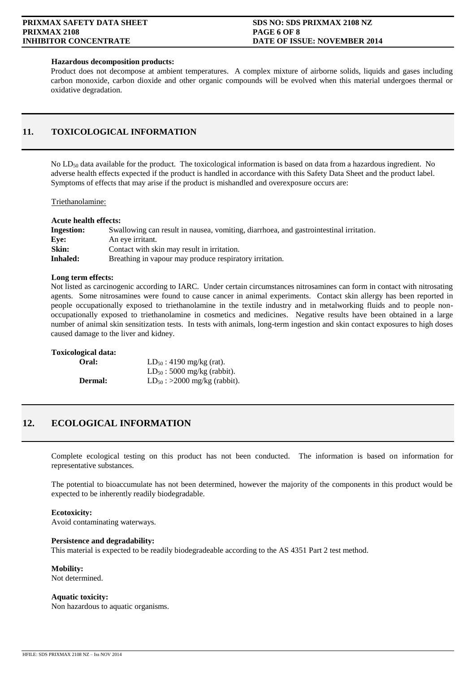### **Hazardous decomposition products:**

Product does not decompose at ambient temperatures. A complex mixture of airborne solids, liquids and gases including carbon monoxide, carbon dioxide and other organic compounds will be evolved when this material undergoes thermal or oxidative degradation.

### **11. TOXICOLOGICAL INFORMATION**

No LD<sub>50</sub> data available for the product. The toxicological information is based on data from a hazardous ingredient. No adverse health effects expected if the product is handled in accordance with this Safety Data Sheet and the product label. Symptoms of effects that may arise if the product is mishandled and overexposure occurs are:

Triethanolamine:

| <b>Acute health effects:</b> |  |
|------------------------------|--|
|------------------------------|--|

| <b>Ingestion:</b> | Swallowing can result in nausea, vomiting, diarrhoea, and gastrointestinal irritation. |
|-------------------|----------------------------------------------------------------------------------------|
| Eve:              | An eye irritant.                                                                       |
| Skin:             | Contact with skin may result in irritation.                                            |
| Inhaled:          | Breathing in vapour may produce respiratory irritation.                                |

### **Long term effects:**

Not listed as carcinogenic according to IARC. Under certain circumstances nitrosamines can form in contact with nitrosating agents. Some nitrosamines were found to cause cancer in animal experiments. Contact skin allergy has been reported in people occupationally exposed to triethanolamine in the textile industry and in metalworking fluids and to people nonoccupationally exposed to triethanolamine in cosmetics and medicines. Negative results have been obtained in a large number of animal skin sensitization tests. In tests with animals, long-term ingestion and skin contact exposures to high doses caused damage to the liver and kidney.

### **Toxicological data:**

| Oral:          | $LD_{50}$ : 4190 mg/kg (rat).     |
|----------------|-----------------------------------|
|                | $LD_{50}$ : 5000 mg/kg (rabbit).  |
| <b>Dermal:</b> | $LD_{50}$ : >2000 mg/kg (rabbit). |

### **12. ECOLOGICAL INFORMATION**

Complete ecological testing on this product has not been conducted. The information is based on information for representative substances.

The potential to bioaccumulate has not been determined, however the majority of the components in this product would be expected to be inherently readily biodegradable.

### **Ecotoxicity:**

Avoid contaminating waterways.

### **Persistence and degradability:**

This material is expected to be readily biodegradeable according to the AS 4351 Part 2 test method.

**Mobility:**

Not determined.

**Aquatic toxicity:** Non hazardous to aquatic organisms.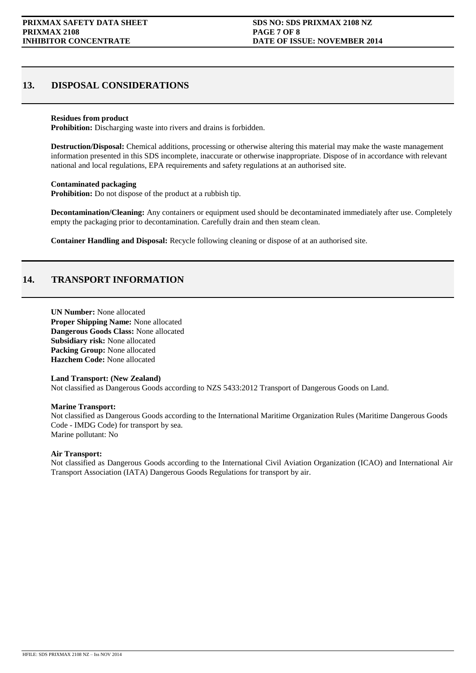### **13. DISPOSAL CONSIDERATIONS**

### **Residues from product**

**Prohibition:** Discharging waste into rivers and drains is forbidden.

**Destruction/Disposal:** Chemical additions, processing or otherwise altering this material may make the waste management information presented in this SDS incomplete, inaccurate or otherwise inappropriate. Dispose of in accordance with relevant national and local regulations, EPA requirements and safety regulations at an authorised site.

### **Contaminated packaging**

**Prohibition:** Do not dispose of the product at a rubbish tip.

**Decontamination/Cleaning:** Any containers or equipment used should be decontaminated immediately after use. Completely empty the packaging prior to decontamination. Carefully drain and then steam clean.

**Container Handling and Disposal:** Recycle following cleaning or dispose of at an authorised site.

### **14. TRANSPORT INFORMATION**

**UN Number:** None allocated **Proper Shipping Name:** None allocated **Dangerous Goods Class:** None allocated **Subsidiary risk:** None allocated **Packing Group:** None allocated **Hazchem Code:** None allocated

### **Land Transport: (New Zealand)**

Not classified as Dangerous Goods according to NZS 5433:2012 Transport of Dangerous Goods on Land.

### **Marine Transport:**

Not classified as Dangerous Goods according to the International Maritime Organization Rules (Maritime Dangerous Goods Code - IMDG Code) for transport by sea. Marine pollutant: No

### **Air Transport:**

Not classified as Dangerous Goods according to the International Civil Aviation Organization (ICAO) and International Air Transport Association (IATA) Dangerous Goods Regulations for transport by air.